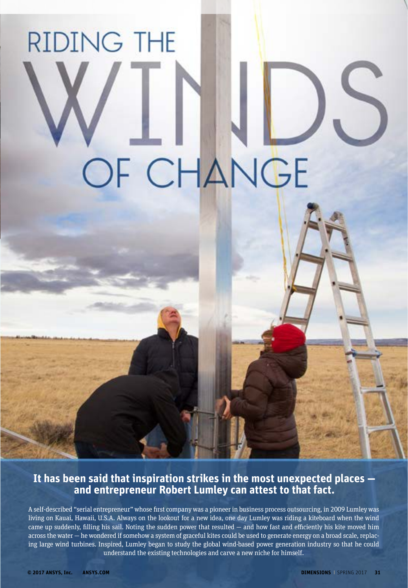## **RIDING THE** OF CHANGE

## **It has been said that inspiration strikes in the most unexpected places and entrepreneur Robert Lumley can attest to that fact.**

A self-described "serial entrepreneur" whose first company was a pioneer in business process outsourcing, in 2009 Lumley was living on Kauai, Hawaii, U.S.A. Always on the lookout for a new idea, one day Lumley was riding a kiteboard when the wind came up suddenly, filling his sail. Noting the sudden power that resulted — and how fast and efficiently his kite moved him across the water — he wondered if somehow a system of graceful kites could be used to generate energy on a broad scale, replacing large wind turbines. Inspired, Lumley began to study the global wind-based power generation industry so that he could understand the existing technologies and carve a new niche for himself.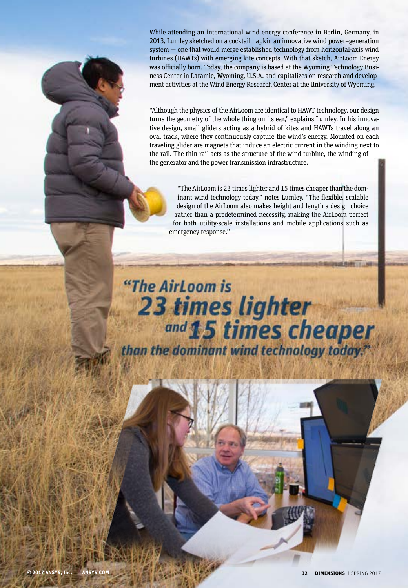While attending an international wind energy conference in Berlin, Germany, in 2013, Lumley sketched on a cocktail napkin an innovative wind power–generation system — one that would merge established technology from horizontal-axis wind turbines (HAWTs) with emerging kite concepts. With that sketch, AirLoom Energy was officially born. Today, the company is based at the Wyoming Technology Business Center in Laramie, Wyoming, U.S.A. and capitalizes on research and development activities at the Wind Energy Research Center at the University of Wyoming.

"Although the physics of the AirLoom are identical to HAWT technology, our design turns the geometry of the whole thing on its ear," explains Lumley. In his innovative design, small gliders acting as a hybrid of kites and HAWTs travel along an oval track, where they continuously capture the wind's energy. Mounted on each traveling glider are magnets that induce an electric current in the winding next to the rail. The thin rail acts as the structure of the wind turbine, the winding of the generator and the power transmission infrastructure.

"The AirLoom is 23 times lighter and 15 times cheaper than the dominant wind technology today," notes Lumley. "The flexible, scalable design of the AirLoom also makes height and length a design choice rather than a predetermined necessity, making the AirLoom perfect for both utility-scale installations and mobile applications such as emergency response."

## "The AirLoom is **23 times lighter** and 15 times cheaper<br>than the dominant wind technology today.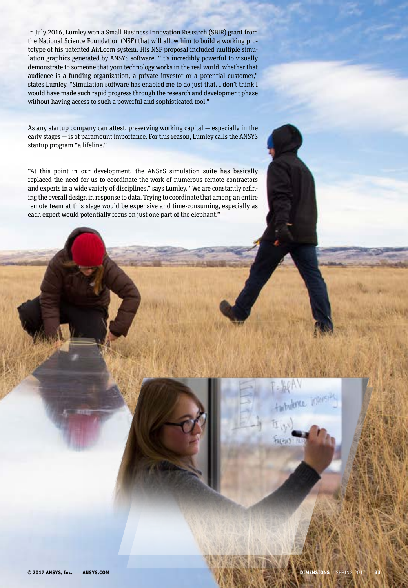In July 2016, Lumley won a Small Business Innovation Research (SBIR) grant from the National Science Foundation (NSF) that will allow him to build a working prototype of his patented AirLoom system. His NSF proposal included multiple simulation graphics generated by ANSYS software. "It's incredibly powerful to visually demonstrate to someone that your technology works in the real world, whether that audience is a funding organization, a private investor or a potential customer," states Lumley. "Simulation software has enabled me to do just that. I don't think I would have made such rapid progress through the research and development phase without having access to such a powerful and sophisticated tool."

As any startup company can attest, preserving working capital — especially in the early stages — is of paramount importance. For this reason, Lumley calls the ANSYS startup program "a lifeline."

"At this point in our development, the ANSYS simulation suite has basically replaced the need for us to coordinate the work of numerous remote contractors and experts in a wide variety of disciplines," says Lumley. "We are constantly refining the overall design in response to data. Trying to coordinate that among an entire remote team at this stage would be expensive and time-consuming, especially as each expert would potentially focus on just one part of the elephant."